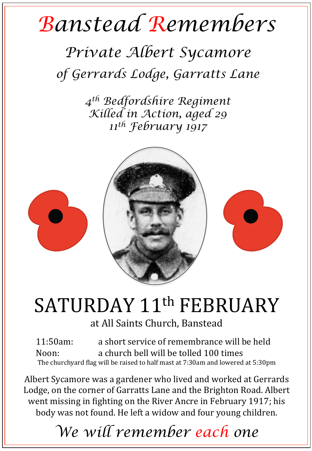## *Banstead Remembers*

## *Private Albert Sycamore of Gerrards Lodge, Garratts Lane*

*4th Bedfordshire Regiment Killed in Action, aged 29 11th February 1917* 



## SATURDAY 11<sup>th</sup> FEBRUARY

at All Saints Church, Banstead

11:50am: a short service of remembrance will be held Noon: a church bell will be tolled 100 times The churchyard flag will be raised to half mast at  $7:30$ am and lowered at  $5:30$ pm

Albert Sycamore was a gardener who lived and worked at Gerrards Lodge, on the corner of Garratts Lane and the Brighton Road. Albert went missing in fighting on the River Ancre in February 1917; his body was not found. He left a widow and four young children.

*We will remember each one*